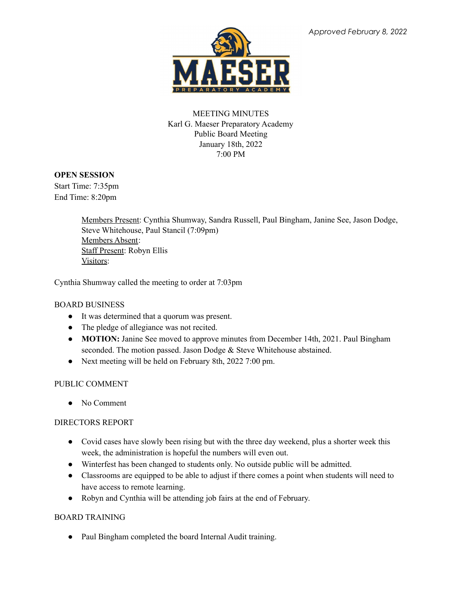

# MEETING MINUTES Karl G. Maeser Preparatory Academy Public Board Meeting January 18th, 2022 7:00 PM

## **OPEN SESSION**

Start Time: 7:35pm End Time: 8:20pm

> Members Present: Cynthia Shumway, Sandra Russell, Paul Bingham, Janine See, Jason Dodge, Steve Whitehouse, Paul Stancil (7:09pm) Members Absent: Staff Present: Robyn Ellis Visitors:

Cynthia Shumway called the meeting to order at 7:03pm

## BOARD BUSINESS

- It was determined that a quorum was present.
- The pledge of allegiance was not recited.
- **MOTION:** Janine See moved to approve minutes from December 14th, 2021. Paul Bingham seconded. The motion passed. Jason Dodge & Steve Whitehouse abstained.
- Next meeting will be held on February 8th, 2022 7:00 pm.

## PUBLIC COMMENT

● No Comment

## DIRECTORS REPORT

- Covid cases have slowly been rising but with the three day weekend, plus a shorter week this week, the administration is hopeful the numbers will even out.
- Winterfest has been changed to students only. No outside public will be admitted.
- Classrooms are equipped to be able to adjust if there comes a point when students will need to have access to remote learning.
- Robyn and Cynthia will be attending job fairs at the end of February.

## BOARD TRAINING

• Paul Bingham completed the board Internal Audit training.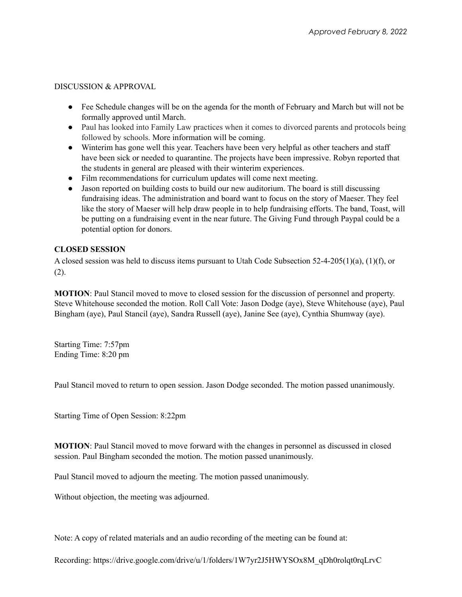### DISCUSSION & APPROVAL

- Fee Schedule changes will be on the agenda for the month of February and March but will not be formally approved until March.
- Paul has looked into Family Law practices when it comes to divorced parents and protocols being followed by schools. More information will be coming.
- Winterim has gone well this year. Teachers have been very helpful as other teachers and staff have been sick or needed to quarantine. The projects have been impressive. Robyn reported that the students in general are pleased with their winterim experiences.
- Film recommendations for curriculum updates will come next meeting.
- Jason reported on building costs to build our new auditorium. The board is still discussing fundraising ideas. The administration and board want to focus on the story of Maeser. They feel like the story of Maeser will help draw people in to help fundraising efforts. The band, Toast, will be putting on a fundraising event in the near future. The Giving Fund through Paypal could be a potential option for donors.

## **CLOSED SESSION**

A closed session was held to discuss items pursuant to Utah Code Subsection 52-4-205(1)(a), (1)(f), or (2).

**MOTION**: Paul Stancil moved to move to closed session for the discussion of personnel and property. Steve Whitehouse seconded the motion. Roll Call Vote: Jason Dodge (aye), Steve Whitehouse (aye), Paul Bingham (aye), Paul Stancil (aye), Sandra Russell (aye), Janine See (aye), Cynthia Shumway (aye).

Starting Time: 7:57pm Ending Time: 8:20 pm

Paul Stancil moved to return to open session. Jason Dodge seconded. The motion passed unanimously.

Starting Time of Open Session: 8:22pm

**MOTION**: Paul Stancil moved to move forward with the changes in personnel as discussed in closed session. Paul Bingham seconded the motion. The motion passed unanimously.

Paul Stancil moved to adjourn the meeting. The motion passed unanimously.

Without objection, the meeting was adjourned.

Note: A copy of related materials and an audio recording of the meeting can be found at:

Recording: https://drive.google.com/drive/u/1/folders/1W7yr2J5HWYSOx8M\_qDh0rolqt0rqLrvC